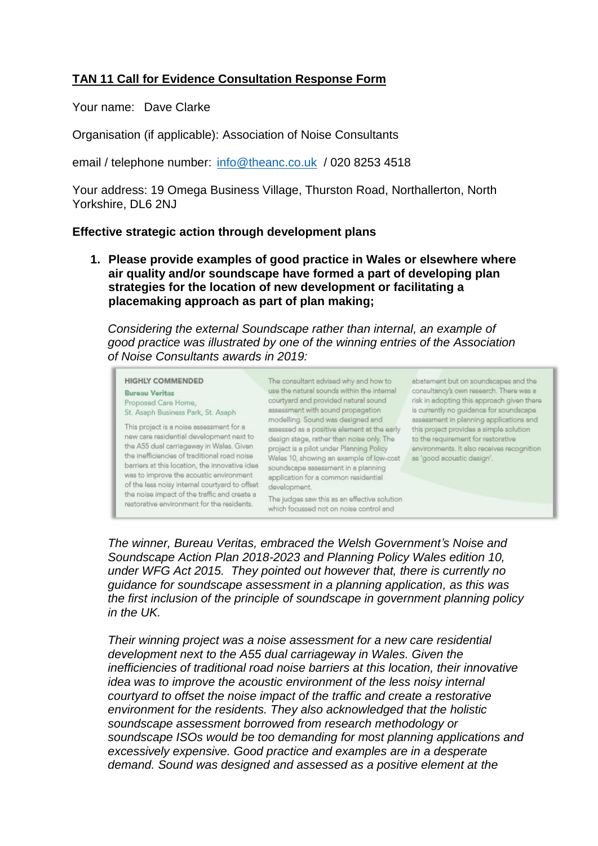# **TAN 11 Call for Evidence Consultation Response Form**

Your name: Dave Clarke

Organisation (if applicable): Association of Noise Consultants

email / telephone number: [info@theanc.co.uk](mailto:info@theanc.co.uk) / 020 8253 4518

Your address: 19 Omega Business Village, Thurston Road, Northallerton, North Yorkshire, DL6 2NJ

## **Effective strategic action through development plans**

**1. Please provide examples of good practice in Wales or elsewhere where air quality and/or soundscape have formed a part of developing plan strategies for the location of new development or facilitating a placemaking approach as part of plan making;**

*Considering the external Soundscape rather than internal, an example of good practice was illustrated by one of the winning entries of the Association of Noise Consultants awards in 2019:*

**HIGHLY COMMENDED** The consultant advised why and how to **Bureau Veritas** Proposed Care Home. St. Asaph Business Park, St. Asaph This project is a poise assessment for a This project is a noise assessment for a sessessed as a positive element at the early this project provides a simple solution new care residential development next to design stage, rather than noise only. The to the requir the A55 dual carriageway in Wales. Given project is a pilot under Planning Policy<br>the inefficiencies of traditional cool point the inefficiencies of traditional road noise the membericies of backbonartoad holes Wales 10, showing an example of low-<br>barriers at this location, the innovative idea soundscape assessment in a planning was to improve the acoustic environment of the less noisy internal courtyard to offset development. the noise impact of the traffic and create a restorative environment for the residents.

use the natural sounds within the internal consultancy's own research. There was a base the hatural sounds within the internal consultancy's own research. There was a<br>courtyard and provided natural sound consultainty's own research. There was a<br>assessment with sound propagation is currently no guidance f Wales 10, showing an example of low-cost as 'good acoustic design'. application for a common residential

The judges saw this as an effective solution which focussed not on noise control and

abatement but on soundscapes and the environments. It also receives recognition

*The winner, Bureau Veritas, embraced the Welsh Government's Noise and Soundscape Action Plan 2018-2023 and Planning Policy Wales edition 10, under WFG Act 2015. They pointed out however that, there is currently no guidance for soundscape assessment in a planning application, as this was the first inclusion of the principle of soundscape in government planning policy in the UK.* 

*Their winning project was a noise assessment for a new care residential development next to the A55 dual carriageway in Wales. Given the inefficiencies of traditional road noise barriers at this location, their innovative idea was to improve the acoustic environment of the less noisy internal courtyard to offset the noise impact of the traffic and create a restorative environment for the residents. They also acknowledged that the holistic soundscape assessment borrowed from research methodology or soundscape ISOs would be too demanding for most planning applications and excessively expensive. Good practice and examples are in a desperate demand. Sound was designed and assessed as a positive element at the*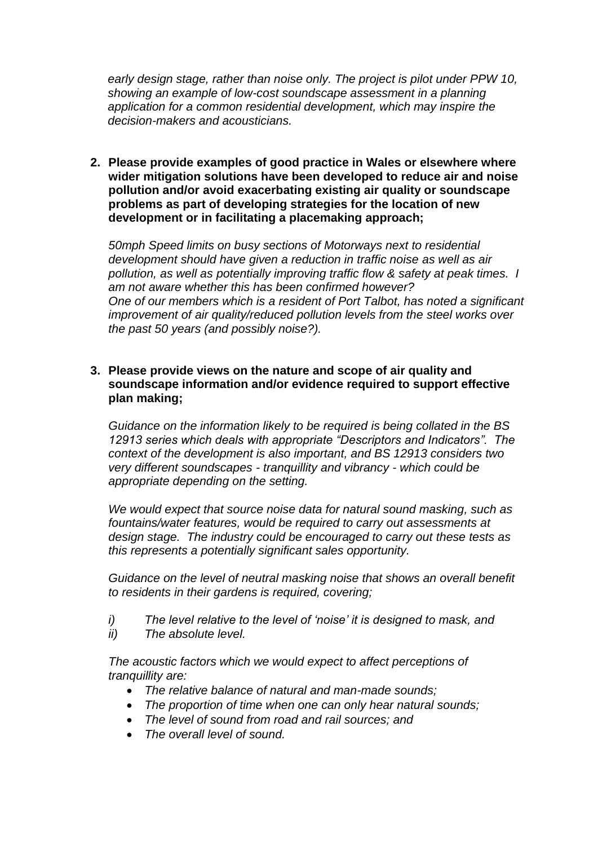*early design stage, rather than noise only. The project is pilot under PPW 10, showing an example of low-cost soundscape assessment in a planning application for a common residential development, which may inspire the decision-makers and acousticians.*

**2. Please provide examples of good practice in Wales or elsewhere where wider mitigation solutions have been developed to reduce air and noise pollution and/or avoid exacerbating existing air quality or soundscape problems as part of developing strategies for the location of new development or in facilitating a placemaking approach;**

*50mph Speed limits on busy sections of Motorways next to residential development should have given a reduction in traffic noise as well as air pollution, as well as potentially improving traffic flow & safety at peak times. I am not aware whether this has been confirmed however? One of our members which is a resident of Port Talbot, has noted a significant improvement of air quality/reduced pollution levels from the steel works over the past 50 years (and possibly noise?).*

# **3. Please provide views on the nature and scope of air quality and soundscape information and/or evidence required to support effective plan making;**

*Guidance on the information likely to be required is being collated in the BS 12913 series which deals with appropriate "Descriptors and Indicators". The context of the development is also important, and BS 12913 considers two very different soundscapes - tranquillity and vibrancy - which could be appropriate depending on the setting.*

*We would expect that source noise data for natural sound masking, such as fountains/water features, would be required to carry out assessments at design stage. The industry could be encouraged to carry out these tests as this represents a potentially significant sales opportunity.* 

*Guidance on the level of neutral masking noise that shows an overall benefit to residents in their gardens is required, covering;*

- *i) The level relative to the level of 'noise' it is designed to mask, and*
- *ii) The absolute level.*

*The acoustic factors which we would expect to affect perceptions of tranquillity are:*

- *The relative balance of natural and man-made sounds;*
- *The proportion of time when one can only hear natural sounds;*
- *The level of sound from road and rail sources; and*
- *The overall level of sound.*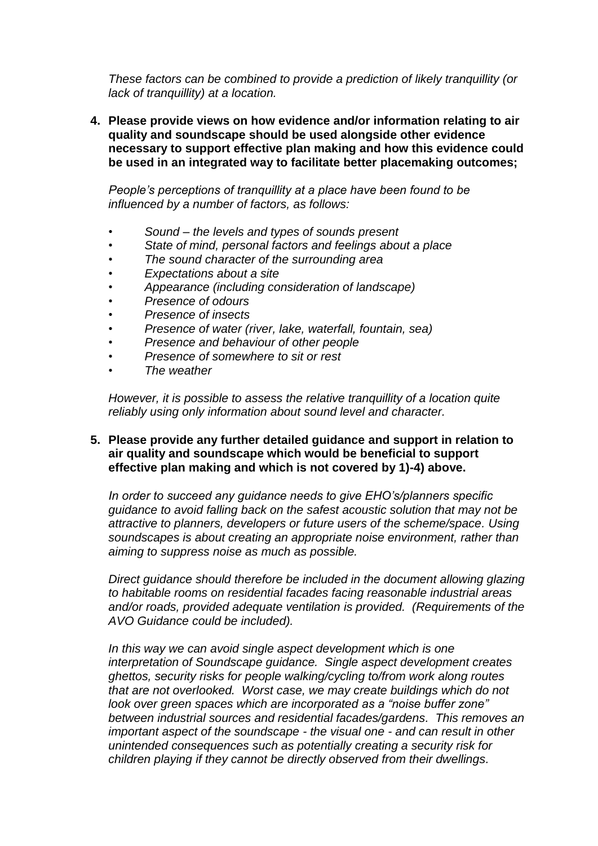*These factors can be combined to provide a prediction of likely tranquillity (or lack of tranquillity) at a location.*

**4. Please provide views on how evidence and/or information relating to air quality and soundscape should be used alongside other evidence necessary to support effective plan making and how this evidence could be used in an integrated way to facilitate better placemaking outcomes;**

*People's perceptions of tranquillity at a place have been found to be influenced by a number of factors, as follows:*

- *• Sound – the levels and types of sounds present*
- *• State of mind, personal factors and feelings about a place*
- *• The sound character of the surrounding area*
- *• Expectations about a site*
- *• Appearance (including consideration of landscape)*
- *• Presence of odours*
- *• Presence of insects*
- *• Presence of water (river, lake, waterfall, fountain, sea)*
- *• Presence and behaviour of other people*
- *• Presence of somewhere to sit or rest*
- *• The weather*

*However, it is possible to assess the relative tranquillity of a location quite reliably using only information about sound level and character.*

# **5. Please provide any further detailed guidance and support in relation to air quality and soundscape which would be beneficial to support effective plan making and which is not covered by 1)-4) above.**

*In order to succeed any guidance needs to give EHO's/planners specific guidance to avoid falling back on the safest acoustic solution that may not be attractive to planners, developers or future users of the scheme/space. Using soundscapes is about creating an appropriate noise environment, rather than aiming to suppress noise as much as possible.*

*Direct guidance should therefore be included in the document allowing glazing to habitable rooms on residential facades facing reasonable industrial areas and/or roads, provided adequate ventilation is provided. (Requirements of the AVO Guidance could be included).* 

*In this way we can avoid single aspect development which is one interpretation of Soundscape guidance. Single aspect development creates ghettos, security risks for people walking/cycling to/from work along routes that are not overlooked. Worst case, we may create buildings which do not look over green spaces which are incorporated as a "noise buffer zone" between industrial sources and residential facades/gardens. This removes an important aspect of the soundscape - the visual one - and can result in other unintended consequences such as potentially creating a security risk for children playing if they cannot be directly observed from their dwellings.*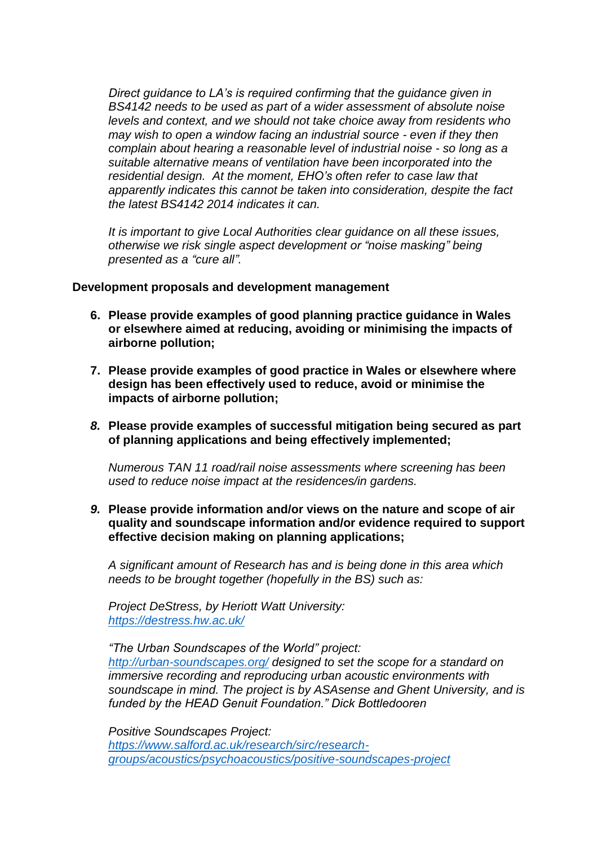*Direct guidance to LA's is required confirming that the guidance given in BS4142 needs to be used as part of a wider assessment of absolute noise levels and context, and we should not take choice away from residents who may wish to open a window facing an industrial source - even if they then complain about hearing a reasonable level of industrial noise - so long as a suitable alternative means of ventilation have been incorporated into the residential design. At the moment, EHO's often refer to case law that apparently indicates this cannot be taken into consideration, despite the fact the latest BS4142 2014 indicates it can.*

*It is important to give Local Authorities clear guidance on all these issues, otherwise we risk single aspect development or "noise masking" being presented as a "cure all".* 

## **Development proposals and development management**

- **6. Please provide examples of good planning practice guidance in Wales or elsewhere aimed at reducing, avoiding or minimising the impacts of airborne pollution;**
- **7. Please provide examples of good practice in Wales or elsewhere where design has been effectively used to reduce, avoid or minimise the impacts of airborne pollution;**
- *8.* **Please provide examples of successful mitigation being secured as part of planning applications and being effectively implemented;**

*Numerous TAN 11 road/rail noise assessments where screening has been used to reduce noise impact at the residences/in gardens.*

*9.* **Please provide information and/or views on the nature and scope of air quality and soundscape information and/or evidence required to support effective decision making on planning applications;** 

*A significant amount of Research has and is being done in this area which needs to be brought together (hopefully in the BS) such as:*

*Project DeStress, by Heriott Watt University: <https://destress.hw.ac.uk/>*

*"The Urban Soundscapes of the World" project: <http://urban-soundscapes.org/> designed to set the scope for a standard on immersive recording and reproducing urban acoustic environments with soundscape in mind. The project is by ASAsense and Ghent University, and is funded by the HEAD Genuit Foundation." Dick Bottledooren*

*Positive Soundscapes Project: [https://www.salford.ac.uk/research/sirc/research](https://www.salford.ac.uk/research/sirc/research-groups/acoustics/psychoacoustics/positive-soundscapes-project)[groups/acoustics/psychoacoustics/positive-soundscapes-project](https://www.salford.ac.uk/research/sirc/research-groups/acoustics/psychoacoustics/positive-soundscapes-project)*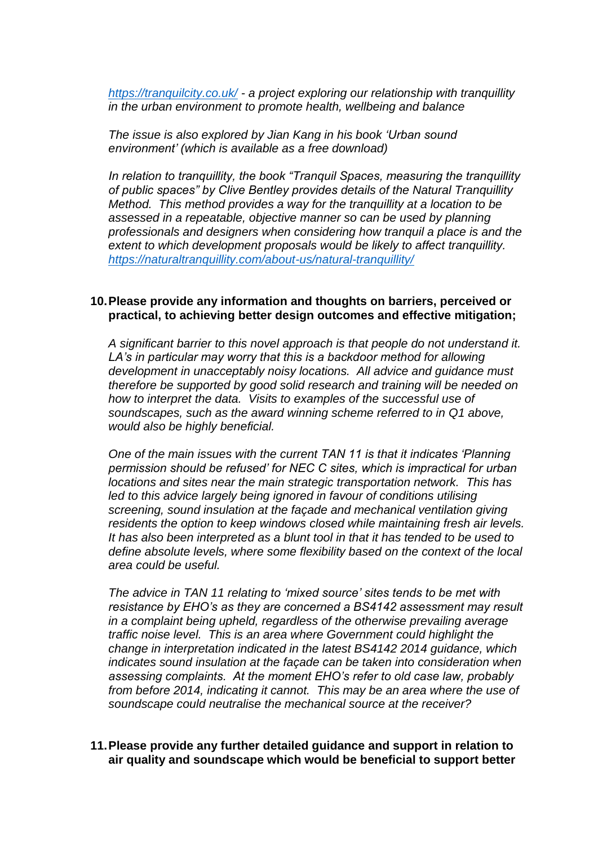*<https://tranquilcity.co.uk/> - a project exploring our relationship with tranquillity in the urban environment to promote health, wellbeing and balance*

*The issue is also explored by Jian Kang in his book 'Urban sound environment' (which is available as a free download)*

*In relation to tranquillity, the book "Tranquil Spaces, measuring the tranquillity of public spaces" by Clive Bentley provides details of the Natural Tranquillity Method. This method provides a way for the tranquillity at a location to be assessed in a repeatable, objective manner so can be used by planning professionals and designers when considering how tranquil a place is and the extent to which development proposals would be likely to affect tranquillity. <https://naturaltranquillity.com/about-us/natural-tranquillity/>*

## **10.Please provide any information and thoughts on barriers, perceived or practical, to achieving better design outcomes and effective mitigation;**

*A significant barrier to this novel approach is that people do not understand it. LA's in particular may worry that this is a backdoor method for allowing development in unacceptably noisy locations. All advice and guidance must therefore be supported by good solid research and training will be needed on how to interpret the data. Visits to examples of the successful use of soundscapes, such as the award winning scheme referred to in Q1 above, would also be highly beneficial.* 

*One of the main issues with the current TAN 11 is that it indicates 'Planning permission should be refused' for NEC C sites, which is impractical for urban locations and sites near the main strategic transportation network. This has*  led to this advice largely being ignored in favour of conditions utilising *screening, sound insulation at the façade and mechanical ventilation giving residents the option to keep windows closed while maintaining fresh air levels. It has also been interpreted as a blunt tool in that it has tended to be used to define absolute levels, where some flexibility based on the context of the local area could be useful.* 

*The advice in TAN 11 relating to 'mixed source' sites tends to be met with resistance by EHO's as they are concerned a BS4142 assessment may result in a complaint being upheld, regardless of the otherwise prevailing average traffic noise level. This is an area where Government could highlight the change in interpretation indicated in the latest BS4142 2014 guidance, which indicates sound insulation at the façade can be taken into consideration when assessing complaints. At the moment EHO's refer to old case law, probably from before 2014, indicating it cannot. This may be an area where the use of soundscape could neutralise the mechanical source at the receiver?*

# **11.Please provide any further detailed guidance and support in relation to air quality and soundscape which would be beneficial to support better**